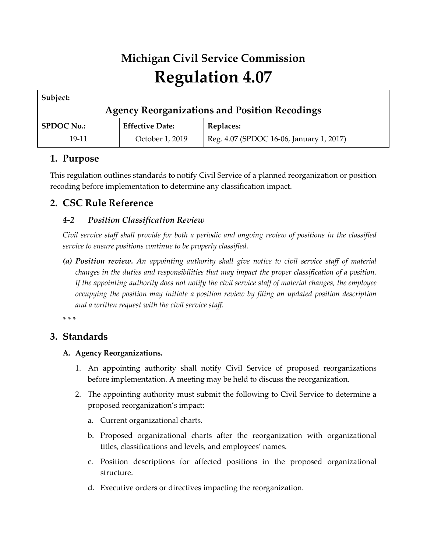# **Michigan Civil Service Commission Regulation 4.07**

| Subject:                                             |                        |                                          |
|------------------------------------------------------|------------------------|------------------------------------------|
| <b>Agency Reorganizations and Position Recodings</b> |                        |                                          |
| <b>SPDOC No.:</b>                                    | <b>Effective Date:</b> | Replaces:                                |
| 19-11                                                | October 1, 2019        | Reg. 4.07 (SPDOC 16-06, January 1, 2017) |

# **1. Purpose**

This regulation outlines standards to notify Civil Service of a planned reorganization or position recoding before implementation to determine any classification impact.

## **2. CSC Rule Reference**

### *4-2 Position Classification Review*

*Civil service staff shall provide for both a periodic and ongoing review of positions in the classified service to ensure positions continue to be properly classified.*

*(a) Position review. An appointing authority shall give notice to civil service staff of material changes in the duties and responsibilities that may impact the proper classification of a position. If the appointing authority does not notify the civil service staff of material changes, the employee occupying the position may initiate a position review by filing an updated position description and a written request with the civil service staff.*

*\* \* \** 

## **3. Standards**

#### **A. Agency Reorganizations.**

- 1. An appointing authority shall notify Civil Service of proposed reorganizations before implementation. A meeting may be held to discuss the reorganization.
- 2. The appointing authority must submit the following to Civil Service to determine a proposed reorganization's impact:
	- a. Current organizational charts.
	- b. Proposed organizational charts after the reorganization with organizational titles, classifications and levels, and employees' names.
	- c. Position descriptions for affected positions in the proposed organizational structure.
	- d. Executive orders or directives impacting the reorganization.